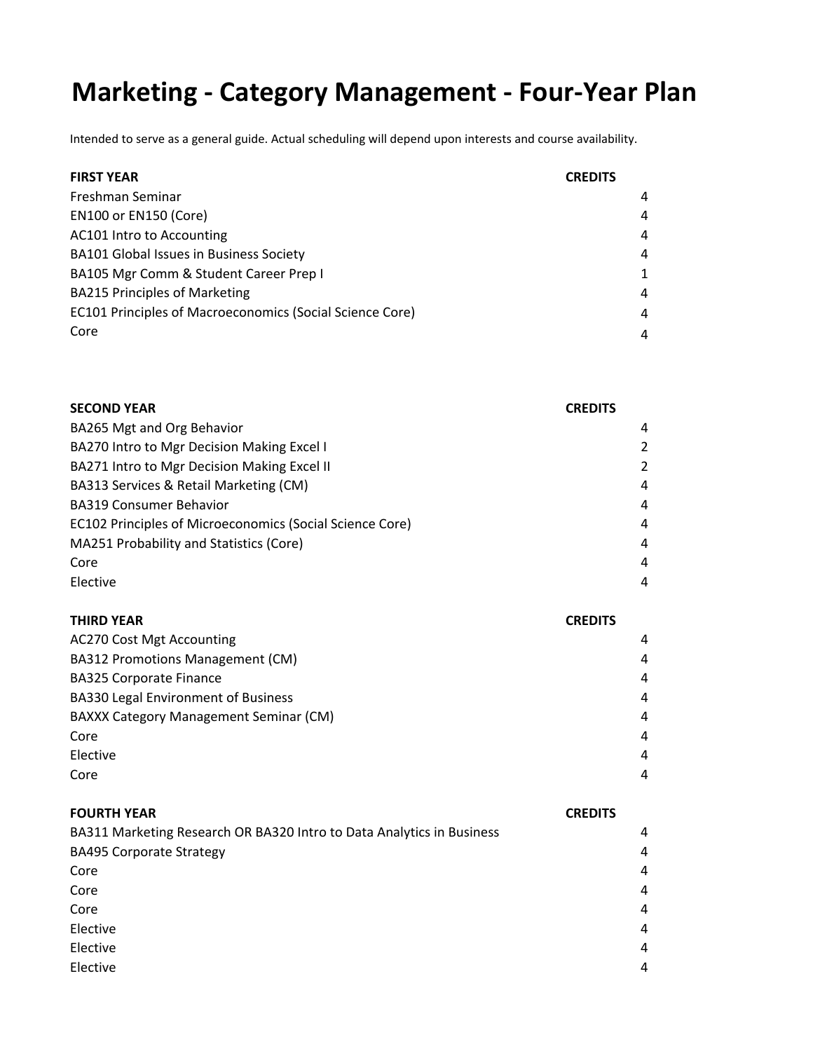### **Marketing ‐ Category Management ‐ Four‐Year Plan**

| <b>FIRST YEAR</b>                                        | <b>CREDITS</b> |
|----------------------------------------------------------|----------------|
| Freshman Seminar                                         | 4              |
| <b>EN100 or EN150 (Core)</b>                             | 4              |
| AC101 Intro to Accounting                                | 4              |
| BA101 Global Issues in Business Society                  | 4              |
| BA105 Mgr Comm & Student Career Prep I                   | $\mathbf{1}$   |
| <b>BA215 Principles of Marketing</b>                     | 4              |
| EC101 Principles of Macroeconomics (Social Science Core) | $\overline{a}$ |
| Core                                                     | 4              |

| <b>CREDITS</b> |
|----------------|
| 4              |
| 2              |
| 2              |
| $\overline{4}$ |
| 4              |
| 4              |
| $\overline{4}$ |
| $\overline{4}$ |
| 4              |
|                |

| <b>THIRD YEAR</b>                             | <b>CREDITS</b> |
|-----------------------------------------------|----------------|
| <b>AC270 Cost Mgt Accounting</b>              | 4              |
| BA312 Promotions Management (CM)              | 4              |
| <b>BA325 Corporate Finance</b>                | 4              |
| <b>BA330 Legal Environment of Business</b>    | 4              |
| <b>BAXXX Category Management Seminar (CM)</b> | 4              |
| Core                                          | 4              |
| Elective                                      | 4              |
| Core                                          | 4              |

| <b>FOURTH YEAR</b>                                                    | <b>CREDITS</b> |
|-----------------------------------------------------------------------|----------------|
| BA311 Marketing Research OR BA320 Intro to Data Analytics in Business | 4              |
| <b>BA495 Corporate Strategy</b>                                       | 4              |
| Core                                                                  | 4              |
| Core                                                                  | 4              |
| Core                                                                  | 4              |
| Elective                                                              | 4              |
| Elective                                                              | 4              |
| Elective                                                              | 4              |
|                                                                       |                |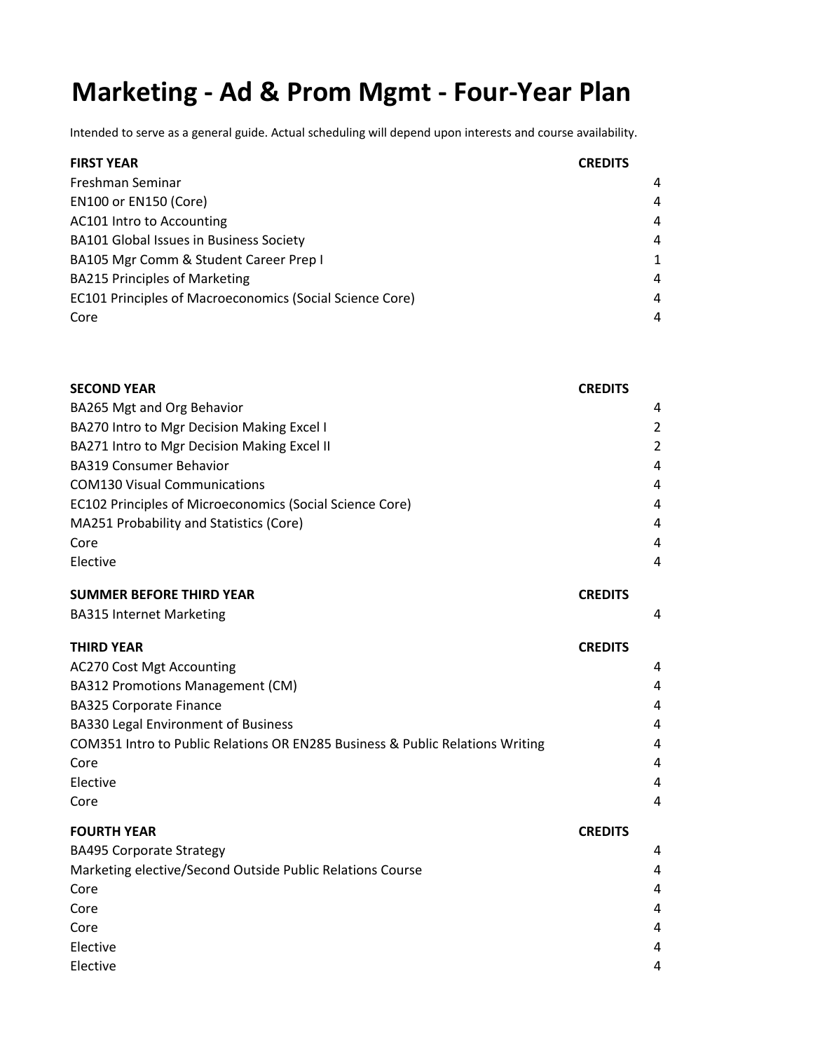### **Marketing ‐ Ad & Prom Mgmt ‐ Four‐Year Plan**

Intended to serve as a general guide. Actual scheduling will depend upon interests and course availability.

| <b>FIRST YEAR</b>                                        | <b>CREDITS</b> |
|----------------------------------------------------------|----------------|
| Freshman Seminar                                         | 4              |
| <b>EN100 or EN150 (Core)</b>                             | $\overline{a}$ |
| AC101 Intro to Accounting                                | $\overline{a}$ |
| <b>BA101 Global Issues in Business Society</b>           | 4              |
| BA105 Mgr Comm & Student Career Prep I                   | $\mathbf 1$    |
| <b>BA215 Principles of Marketing</b>                     | $\overline{a}$ |
| EC101 Principles of Macroeconomics (Social Science Core) | $\overline{a}$ |
| Core                                                     | 4              |

| <b>SECOND YEAR</b>                                       | <b>CREDITS</b> |
|----------------------------------------------------------|----------------|
| BA265 Mgt and Org Behavior                               | 4              |
| BA270 Intro to Mgr Decision Making Excel I               | 2              |
| BA271 Intro to Mgr Decision Making Excel II              | 2              |
| <b>BA319 Consumer Behavior</b>                           | 4              |
| <b>COM130 Visual Communications</b>                      | $\overline{4}$ |
| EC102 Principles of Microeconomics (Social Science Core) | 4              |
| MA251 Probability and Statistics (Core)                  | 4              |
| Core                                                     | 4              |
| Elective                                                 | 4              |

#### **SUMMER BEFORE THIRD YEAR CREDITS**

BA315 Internet Marketing 4

### **THIRD YEAR CREDITS** AC270 Cost Mgt Accounting 4 BA312 Promotions Management (CM) 4 BA325 Corporate Finance 4 BA330 Legal Environment of Business 4 COM351 Intro to Public Relations OR EN285 Business & Public Relations Writing 4 Core and the contract of the contract of the contract of the contract of the contract of the contract of the contract of the contract of the contract of the contract of the contract of the contract of the contract of the c Elective 4 Core and the contract of the contract of the contract of the contract of the contract of the contract of the contract of the contract of the contract of the contract of the contract of the contract of the contract of the c

### **FOURTH YEAR CREDITS**

| <b>BA495 Corporate Strategy</b>                           | 4 |
|-----------------------------------------------------------|---|
| Marketing elective/Second Outside Public Relations Course | 4 |
| Core                                                      | 4 |
| Core                                                      | 4 |
| Core                                                      | 4 |
| Elective                                                  | 4 |
| Elective                                                  | 4 |
|                                                           |   |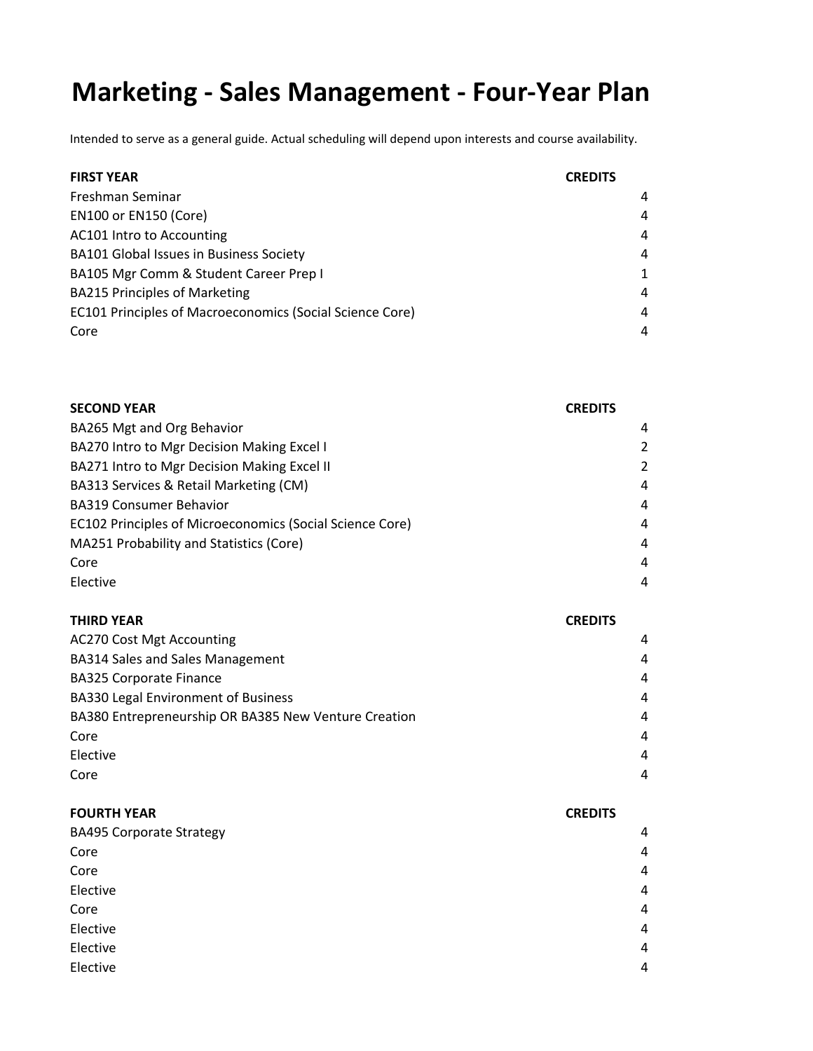# **Marketing ‐ Sales Management ‐ Four‐Year Plan**

| <b>FIRST YEAR</b>                                        | <b>CREDITS</b> |              |
|----------------------------------------------------------|----------------|--------------|
| Freshman Seminar                                         |                | 4            |
| <b>EN100 or EN150 (Core)</b>                             |                | 4            |
| AC101 Intro to Accounting                                |                | 4            |
| BA101 Global Issues in Business Society                  |                | 4            |
| BA105 Mgr Comm & Student Career Prep I                   |                | $\mathbf{1}$ |
| <b>BA215 Principles of Marketing</b>                     |                | 4            |
| EC101 Principles of Macroeconomics (Social Science Core) |                | 4            |
| Core                                                     |                | 4            |
|                                                          |                |              |

| <b>CREDITS</b> |
|----------------|
| 4              |
| 2              |
| 2              |
| 4              |
| 4              |
| 4              |
| 4              |
| 4              |
| 4              |
|                |

| <b>THIRD YEAR</b>                                    | <b>CREDITS</b> |
|------------------------------------------------------|----------------|
| <b>AC270 Cost Mgt Accounting</b>                     | 4              |
| <b>BA314 Sales and Sales Management</b>              | 4              |
| <b>BA325 Corporate Finance</b>                       | 4              |
| <b>BA330 Legal Environment of Business</b>           | $\overline{4}$ |
| BA380 Entrepreneurship OR BA385 New Venture Creation | 4              |
| Core                                                 | $\overline{4}$ |
| Elective                                             | 4              |
| Core                                                 | 4              |

| <b>FOURTH YEAR</b>              | <b>CREDITS</b> |
|---------------------------------|----------------|
| <b>BA495 Corporate Strategy</b> | $\overline{4}$ |
| Core                            | 4              |
| Core                            | 4              |
| Elective                        | 4              |
| Core                            | $\overline{4}$ |
| Elective                        | 4              |
| Elective                        | 4              |
| Elective                        | 4              |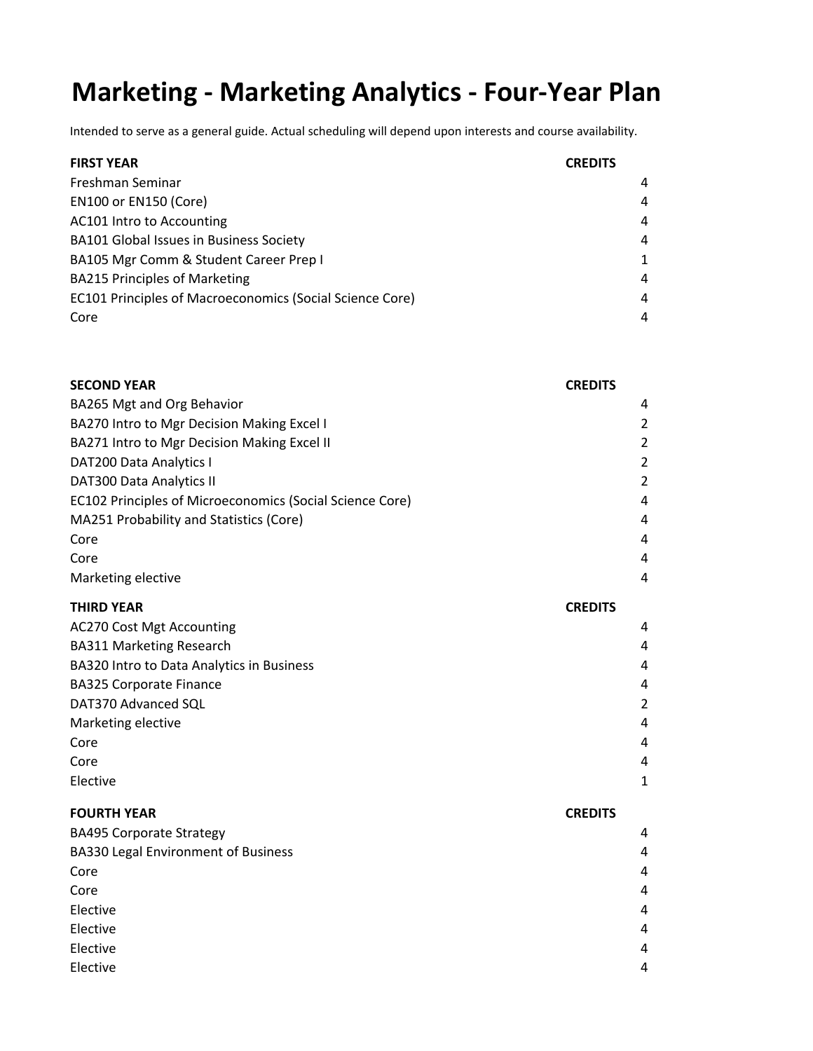# **Marketing ‐ Marketing Analytics ‐ Four‐Year Plan**

| <b>FIRST YEAR</b>                                               | <b>CREDITS</b> |
|-----------------------------------------------------------------|----------------|
| Freshman Seminar                                                | 4              |
| <b>EN100 or EN150 (Core)</b>                                    | 4              |
| AC101 Intro to Accounting                                       | 4              |
| BA101 Global Issues in Business Society                         | 4              |
| BA105 Mgr Comm & Student Career Prep I                          | $\mathbf{1}$   |
| <b>BA215 Principles of Marketing</b>                            | 4              |
| <b>EC101 Principles of Macroeconomics (Social Science Core)</b> | 4              |
| Core                                                            | 4              |

| <b>SECOND YEAR</b>                                       | <b>CREDITS</b> |
|----------------------------------------------------------|----------------|
| BA265 Mgt and Org Behavior                               | 4              |
| BA270 Intro to Mgr Decision Making Excel I               | $\overline{2}$ |
| BA271 Intro to Mgr Decision Making Excel II              | 2              |
| DAT200 Data Analytics I                                  | $\overline{c}$ |
| DAT300 Data Analytics II                                 | 2              |
| EC102 Principles of Microeconomics (Social Science Core) | 4              |
| MA251 Probability and Statistics (Core)                  | 4              |
| Core                                                     | 4              |
| Core                                                     | 4              |
| Marketing elective                                       | 4              |
| THIRD YEAR                                               | <b>CREDITS</b> |
| <b>AC270 Cost Mgt Accounting</b>                         | 4              |
| <b>BA311 Marketing Research</b>                          | $\overline{4}$ |
| BA320 Intro to Data Analytics in Business                | 4              |
| <b>BA325 Corporate Finance</b>                           | 4              |
| DAT370 Advanced SQL                                      | 2              |
| Marketing elective                                       | 4              |
| Core                                                     | 4              |
| Core                                                     | 4              |
| Elective                                                 | 1              |

| <b>FOURTH YEAR</b>                         | <b>CREDITS</b> |
|--------------------------------------------|----------------|
| <b>BA495 Corporate Strategy</b>            | $\overline{4}$ |
| <b>BA330 Legal Environment of Business</b> | 4              |
| Core                                       | $\overline{4}$ |
| Core                                       | $\overline{4}$ |
| Elective                                   | 4              |
| Elective                                   | 4              |
| Elective                                   | 4              |
| Elective                                   | 4              |